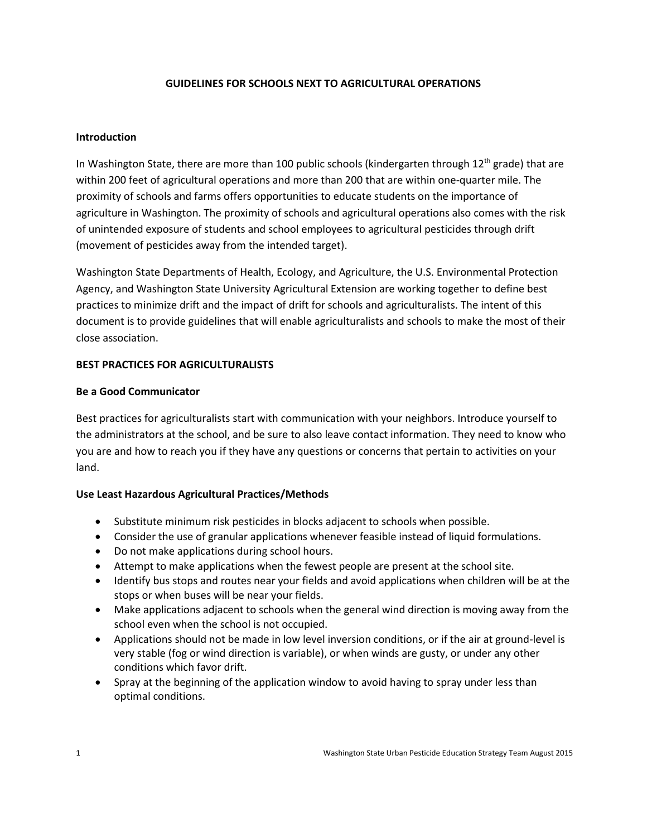## **GUIDELINES FOR SCHOOLS NEXT TO AGRICULTURAL OPERATIONS**

### **Introduction**

In Washington State, there are more than 100 public schools (kindergarten through  $12<sup>th</sup>$  grade) that are within 200 feet of agricultural operations and more than 200 that are within one-quarter mile. The proximity of schools and farms offers opportunities to educate students on the importance of agriculture in Washington. The proximity of schools and agricultural operations also comes with the risk of unintended exposure of students and school employees to agricultural pesticides through drift (movement of pesticides away from the intended target).

Washington State Departments of Health, Ecology, and Agriculture, the U.S. Environmental Protection Agency, and Washington State University Agricultural Extension are working together to define best practices to minimize drift and the impact of drift for schools and agriculturalists. The intent of this document is to provide guidelines that will enable agriculturalists and schools to make the most of their close association.

### **BEST PRACTICES FOR AGRICULTURALISTS**

#### **Be a Good Communicator**

Best practices for agriculturalists start with communication with your neighbors. Introduce yourself to the administrators at the school, and be sure to also leave contact information. They need to know who you are and how to reach you if they have any questions or concerns that pertain to activities on your land.

### **Use Least Hazardous Agricultural Practices/Methods**

- Substitute minimum risk pesticides in blocks adjacent to schools when possible.
- Consider the use of granular applications whenever feasible instead of liquid formulations.
- Do not make applications during school hours.
- Attempt to make applications when the fewest people are present at the school site.
- Identify bus stops and routes near your fields and avoid applications when children will be at the stops or when buses will be near your fields.
- Make applications adjacent to schools when the general wind direction is moving away from the school even when the school is not occupied.
- Applications should not be made in low level inversion conditions, or if the air at ground-level is very stable (fog or wind direction is variable), or when winds are gusty, or under any other conditions which favor drift.
- Spray at the beginning of the application window to avoid having to spray under less than optimal conditions.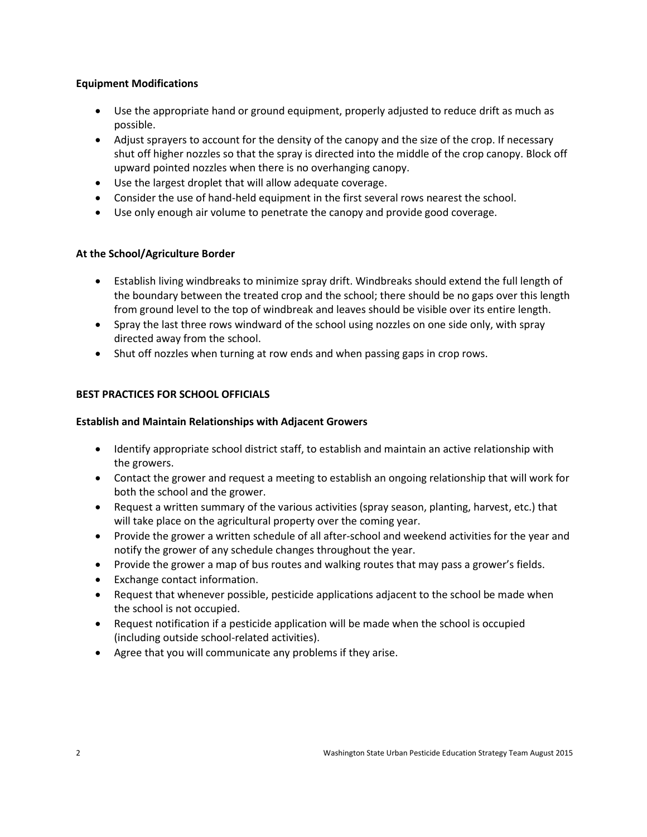## **Equipment Modifications**

- Use the appropriate hand or ground equipment, properly adjusted to reduce drift as much as possible.
- Adjust sprayers to account for the density of the canopy and the size of the crop. If necessary shut off higher nozzles so that the spray is directed into the middle of the crop canopy. Block off upward pointed nozzles when there is no overhanging canopy.
- Use the largest droplet that will allow adequate coverage.
- Consider the use of hand-held equipment in the first several rows nearest the school.
- Use only enough air volume to penetrate the canopy and provide good coverage.

# **At the School/Agriculture Border**

- Establish living windbreaks to minimize spray drift. Windbreaks should extend the full length of the boundary between the treated crop and the school; there should be no gaps over this length from ground level to the top of windbreak and leaves should be visible over its entire length.
- Spray the last three rows windward of the school using nozzles on one side only, with spray directed away from the school.
- Shut off nozzles when turning at row ends and when passing gaps in crop rows.

# **BEST PRACTICES FOR SCHOOL OFFICIALS**

## **Establish and Maintain Relationships with Adjacent Growers**

- Identify appropriate school district staff, to establish and maintain an active relationship with the growers.
- Contact the grower and request a meeting to establish an ongoing relationship that will work for both the school and the grower.
- Request a written summary of the various activities (spray season, planting, harvest, etc.) that will take place on the agricultural property over the coming year.
- Provide the grower a written schedule of all after-school and weekend activities for the year and notify the grower of any schedule changes throughout the year.
- Provide the grower a map of bus routes and walking routes that may pass a grower's fields.
- Exchange contact information.
- Request that whenever possible, pesticide applications adjacent to the school be made when the school is not occupied.
- Request notification if a pesticide application will be made when the school is occupied (including outside school-related activities).
- Agree that you will communicate any problems if they arise.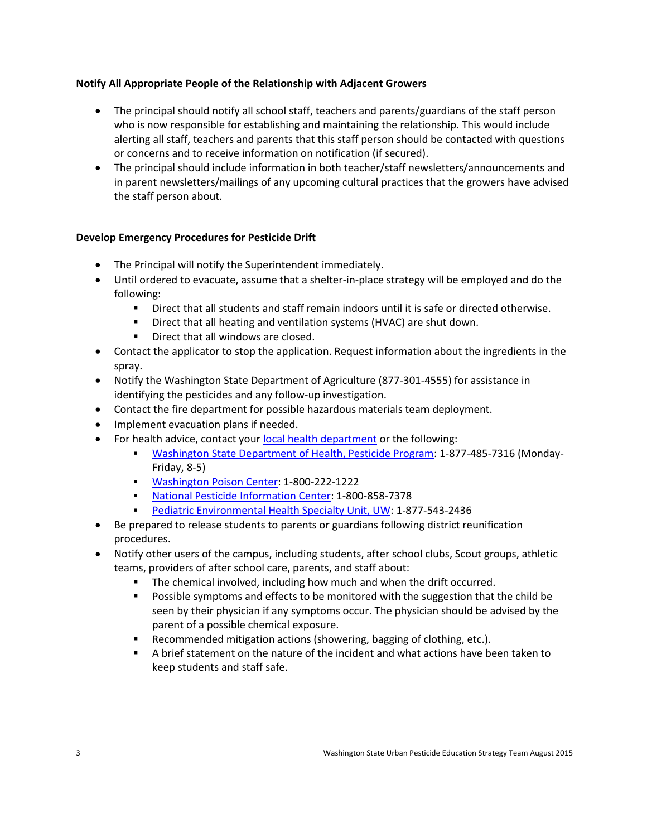## **Notify All Appropriate People of the Relationship with Adjacent Growers**

- The principal should notify all school staff, teachers and parents/guardians of the staff person who is now responsible for establishing and maintaining the relationship. This would include alerting all staff, teachers and parents that this staff person should be contacted with questions or concerns and to receive information on notification (if secured).
- The principal should include information in both teacher/staff newsletters/announcements and in parent newsletters/mailings of any upcoming cultural practices that the growers have advised the staff person about.

## **Develop Emergency Procedures for Pesticide Drift**

- The Principal will notify the Superintendent immediately.
- Until ordered to evacuate, assume that a shelter-in-place strategy will be employed and do the following:
	- Direct that all students and staff remain indoors until it is safe or directed otherwise.
	- **Direct that all heating and ventilation systems (HVAC) are shut down.**
	- **Direct that all windows are closed.**
- Contact the applicator to stop the application. Request information about the ingredients in the spray.
- Notify the Washington State Department of Agriculture (877-301-4555) for assistance in identifying the pesticides and any follow-up investigation.
- Contact the fire department for possible hazardous materials team deployment.
- Implement evacuation plans if needed.
- For health advice, contact your [local health department](http://www.doh.wa.gov/AboutUs/PublicHealthSystem/LocalHealthJurisdictions.aspx) or the following:
	- [Washington State Department of Health, Pesticide Program:](http://www.doh.wa.gov/AboutUs/ProgramsandServices/EnvironmentalPublicHealth/EnvironmentalHealthSafetyandToxicology/Pesticides/Contacts.aspx) 1-877-485-7316 (Monday-Friday, 8-5)
	- [Washington Poison Center:](http://www.wapc.org/) 1-800-222-1222
	- [National Pesticide Information Center:](http://npic.orst.edu/) 1-800-858-7378
	- [Pediatric Environmental Health Specialty Unit, UW:](http://depts.washington.edu/pehsu/) 1-877-543-2436
- Be prepared to release students to parents or guardians following district reunification procedures.
- Notify other users of the campus, including students, after school clubs, Scout groups, athletic teams, providers of after school care, parents, and staff about:
	- The chemical involved, including how much and when the drift occurred.
	- Possible symptoms and effects to be monitored with the suggestion that the child be seen by their physician if any symptoms occur. The physician should be advised by the parent of a possible chemical exposure.
	- Recommended mitigation actions (showering, bagging of clothing, etc.).
	- A brief statement on the nature of the incident and what actions have been taken to keep students and staff safe.